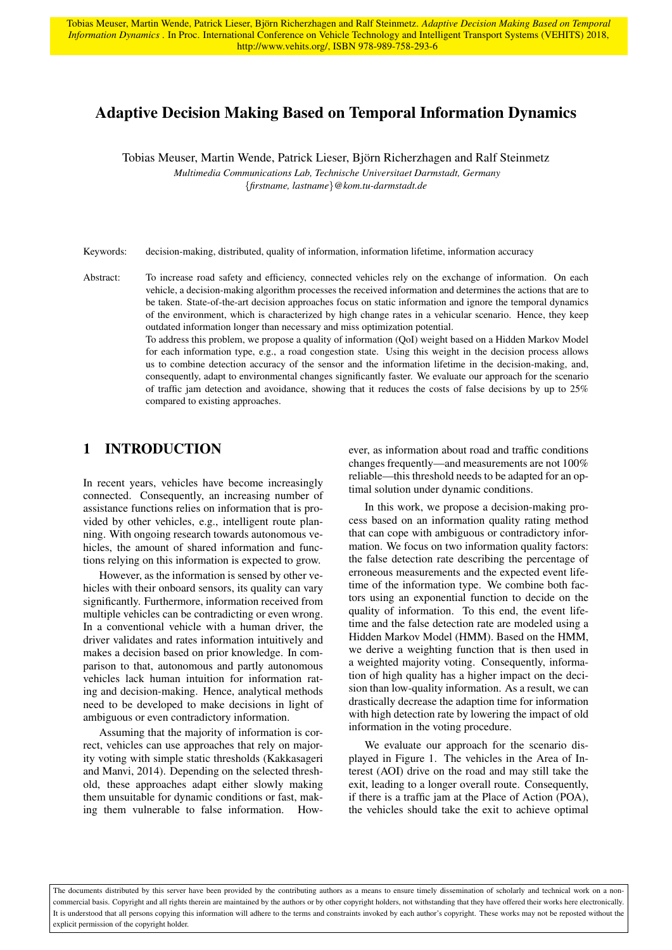Tobias Meuser, Martin Wende, Patrick Lieser, Björn Richerzhagen and Ralf Steinmetz. Adaptive Decision Making Based on Temporal *Information Dynamics* . In Proc. International Conference on Vehicle Technology and Intelligent Transport Systems (VEHITS) 2018, http://www.vehits.org/, ISBN 978-989-758-293-6

# Adaptive Decision Making Based on Temporal Information Dynamics

Tobias Meuser, Martin Wende, Patrick Lieser, Bjorn Richerzhagen and Ralf Steinmetz ¨ *Multimedia Communications Lab, Technische Universitaet Darmstadt, Germany* {*firstname, lastname*}*@kom.tu-darmstadt.de*

Keywords: decision-making, distributed, quality of information, information lifetime, information accuracy

Abstract: To increase road safety and efficiency, connected vehicles rely on the exchange of information. On each vehicle, a decision-making algorithm processes the received information and determines the actions that are to be taken. State-of-the-art decision approaches focus on static information and ignore the temporal dynamics of the environment, which is characterized by high change rates in a vehicular scenario. Hence, they keep outdated information longer than necessary and miss optimization potential.

To address this problem, we propose a quality of information (QoI) weight based on a Hidden Markov Model for each information type, e.g., a road congestion state. Using this weight in the decision process allows us to combine detection accuracy of the sensor and the information lifetime in the decision-making, and, consequently, adapt to environmental changes significantly faster. We evaluate our approach for the scenario of traffic jam detection and avoidance, showing that it reduces the costs of false decisions by up to 25% compared to existing approaches.

### 1 INTRODUCTION

In recent years, vehicles have become increasingly connected. Consequently, an increasing number of assistance functions relies on information that is provided by other vehicles, e.g., intelligent route planning. With ongoing research towards autonomous vehicles, the amount of shared information and functions relying on this information is expected to grow.

However, as the information is sensed by other vehicles with their onboard sensors, its quality can vary significantly. Furthermore, information received from multiple vehicles can be contradicting or even wrong. In a conventional vehicle with a human driver, the driver validates and rates information intuitively and makes a decision based on prior knowledge. In comparison to that, autonomous and partly autonomous vehicles lack human intuition for information rating and decision-making. Hence, analytical methods need to be developed to make decisions in light of ambiguous or even contradictory information.

Assuming that the majority of information is correct, vehicles can use approaches that rely on majority voting with simple static thresholds [\(Kakkasageri](#page-11-0) [and Manvi, 2014\)](#page-11-0). Depending on the selected threshold, these approaches adapt either slowly making them unsuitable for dynamic conditions or fast, making them vulnerable to false information. However, as information about road and traffic conditions changes frequently—and measurements are not 100% reliable—this threshold needs to be adapted for an optimal solution under dynamic conditions.

In this work, we propose a decision-making process based on an information quality rating method that can cope with ambiguous or contradictory information. We focus on two information quality factors: the false detection rate describing the percentage of erroneous measurements and the expected event lifetime of the information type. We combine both factors using an exponential function to decide on the quality of information. To this end, the event lifetime and the false detection rate are modeled using a Hidden Markov Model (HMM). Based on the HMM, we derive a weighting function that is then used in a weighted majority voting. Consequently, information of high quality has a higher impact on the decision than low-quality information. As a result, we can drastically decrease the adaption time for information with high detection rate by lowering the impact of old information in the voting procedure.

We evaluate our approach for the scenario displayed in [Figure 1.](#page-1-0) The vehicles in the Area of Interest (AOI) drive on the road and may still take the exit, leading to a longer overall route. Consequently, if there is a traffic jam at the Place of Action (POA), the vehicles should take the exit to achieve optimal

The documents distributed by this server have been provided by the contributing authors as a means to ensure timely dissemination of scholarly and technical work on a noncommercial basis. Copyright and all rights therein are maintained by the authors or by other copyright holders, not withstanding that they have offered their works here electronically. It is understood that all persons copying this information will adhere to the terms and constraints invoked by each author's copyright. These works may not be reposted without the explicit permission of the copyright holder.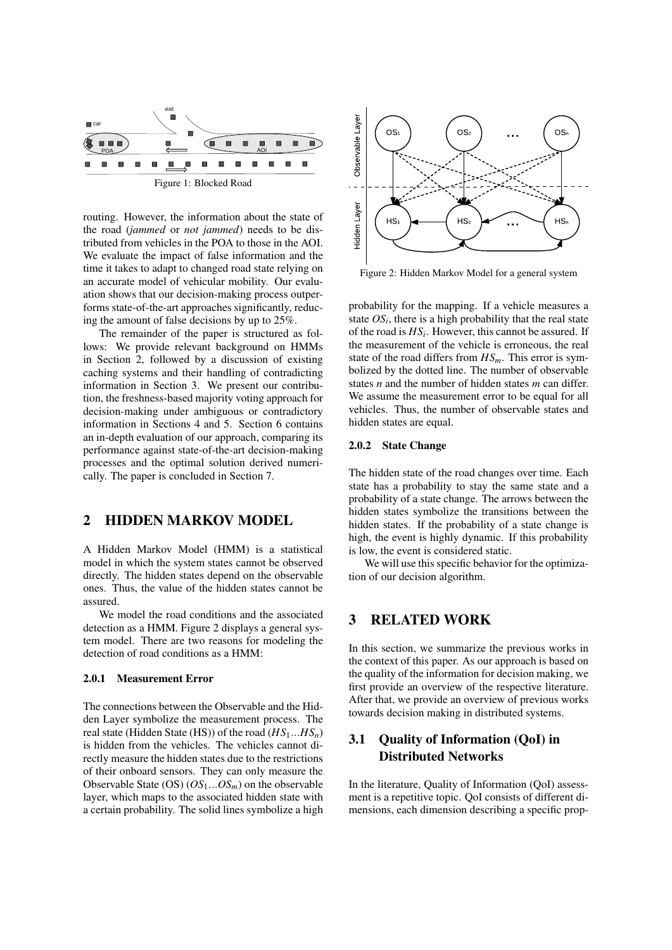<span id="page-1-0"></span>

routing. However, the information about the state of the road (*jammed* or *not jammed*) needs to be distributed from vehicles in the POA to those in the AOI. We evaluate the impact of false information and the time it takes to adapt to changed road state relying on an accurate model of vehicular mobility. Our evaluation shows that our decision-making process outperforms state-of-the-art approaches significantly, reducing the amount of false decisions by up to 25%.

The remainder of the paper is structured as follows: We provide relevant background on HMMs in Section [2,](#page-1-1) followed by a discussion of existing caching systems and their handling of contradicting information in Section [3.](#page-1-2) We present our contribution, the freshness-based majority voting approach for decision-making under ambiguous or contradictory information in Sections [4](#page-2-0) and [5.](#page-3-0) Section [6](#page-7-0) contains an in-depth evaluation of our approach, comparing its performance against state-of-the-art decision-making processes and the optimal solution derived numerically. The paper is concluded in Section [7.](#page-11-1)

## <span id="page-1-1"></span>2 HIDDEN MARKOV MODEL

A Hidden Markov Model (HMM) is a statistical model in which the system states cannot be observed directly. The hidden states depend on the observable ones. Thus, the value of the hidden states cannot be assured.

We model the road conditions and the associated detection as a HMM. [Figure 2](#page-1-3) displays a general system model. There are two reasons for modeling the detection of road conditions as a HMM:

#### 2.0.1 Measurement Error

The connections between the Observable and the Hidden Layer symbolize the measurement process. The real state (Hidden State (HS)) of the road (*HS*1...*HSn*) is hidden from the vehicles. The vehicles cannot directly measure the hidden states due to the restrictions of their onboard sensors. They can only measure the Observable State (OS) (*OS*1...*OSm*) on the observable layer, which maps to the associated hidden state with a certain probability. The solid lines symbolize a high

<span id="page-1-3"></span>

Figure 2: Hidden Markov Model for a general system

probability for the mapping. If a vehicle measures a state  $OS_i$ , there is a high probability that the real state of the road is  $HS_i$ . However, this cannot be assured. If the measurement of the vehicle is erroneous, the real state of the road differs from *HSm*. This error is symbolized by the dotted line. The number of observable states *n* and the number of hidden states *m* can differ. We assume the measurement error to be equal for all vehicles. Thus, the number of observable states and hidden states are equal.

#### 2.0.2 State Change

The hidden state of the road changes over time. Each state has a probability to stay the same state and a probability of a state change. The arrows between the hidden states symbolize the transitions between the hidden states. If the probability of a state change is high, the event is highly dynamic. If this probability is low, the event is considered static.

We will use this specific behavior for the optimization of our decision algorithm.

### <span id="page-1-2"></span>3 RELATED WORK

In this section, we summarize the previous works in the context of this paper. As our approach is based on the quality of the information for decision making, we first provide an overview of the respective literature. After that, we provide an overview of previous works towards decision making in distributed systems.

## 3.1 Quality of Information (QoI) in Distributed Networks

In the literature, Quality of Information (QoI) assessment is a repetitive topic. QoI consists of different dimensions, each dimension describing a specific prop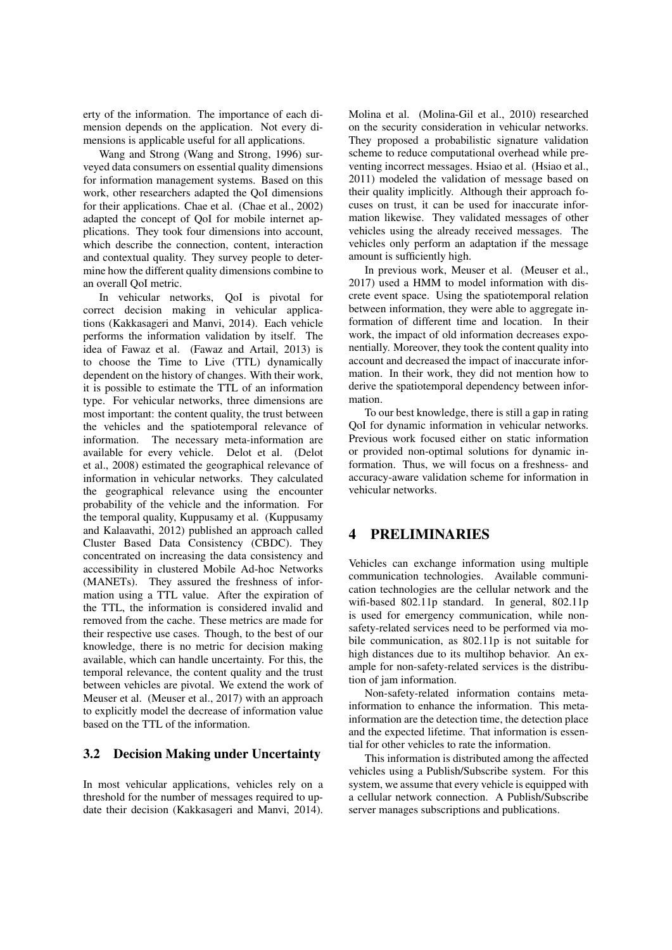erty of the information. The importance of each dimension depends on the application. Not every dimensions is applicable useful for all applications.

Wang and Strong [\(Wang and Strong, 1996\)](#page-11-2) surveyed data consumers on essential quality dimensions for information management systems. Based on this work, other researchers adapted the QoI dimensions for their applications. Chae et al. [\(Chae et al., 2002\)](#page-11-3) adapted the concept of QoI for mobile internet applications. They took four dimensions into account, which describe the connection, content, interaction and contextual quality. They survey people to determine how the different quality dimensions combine to an overall QoI metric.

In vehicular networks, QoI is pivotal for correct decision making in vehicular applications [\(Kakkasageri and Manvi, 2014\)](#page-11-0). Each vehicle performs the information validation by itself. The idea of Fawaz et al. [\(Fawaz and Artail, 2013\)](#page-11-4) is to choose the Time to Live (TTL) dynamically dependent on the history of changes. With their work, it is possible to estimate the TTL of an information type. For vehicular networks, three dimensions are most important: the content quality, the trust between the vehicles and the spatiotemporal relevance of information. The necessary meta-information are available for every vehicle. Delot et al. [\(Delot](#page-11-5) [et al., 2008\)](#page-11-5) estimated the geographical relevance of information in vehicular networks. They calculated the geographical relevance using the encounter probability of the vehicle and the information. For the temporal quality, Kuppusamy et al. [\(Kuppusamy](#page-11-6) [and Kalaavathi, 2012\)](#page-11-6) published an approach called Cluster Based Data Consistency (CBDC). They concentrated on increasing the data consistency and accessibility in clustered Mobile Ad-hoc Networks (MANETs). They assured the freshness of information using a TTL value. After the expiration of the TTL, the information is considered invalid and removed from the cache. These metrics are made for their respective use cases. Though, to the best of our knowledge, there is no metric for decision making available, which can handle uncertainty. For this, the temporal relevance, the content quality and the trust between vehicles are pivotal. We extend the work of Meuser et al. [\(Meuser et al., 2017\)](#page-11-7) with an approach to explicitly model the decrease of information value based on the TTL of the information.

### 3.2 Decision Making under Uncertainty

In most vehicular applications, vehicles rely on a threshold for the number of messages required to update their decision [\(Kakkasageri and Manvi, 2014\)](#page-11-0).

Molina et al. [\(Molina-Gil et al., 2010\)](#page-11-8) researched on the security consideration in vehicular networks. They proposed a probabilistic signature validation scheme to reduce computational overhead while preventing incorrect messages. Hsiao et al. [\(Hsiao et al.,](#page-11-9) [2011\)](#page-11-9) modeled the validation of message based on their quality implicitly. Although their approach focuses on trust, it can be used for inaccurate information likewise. They validated messages of other vehicles using the already received messages. The vehicles only perform an adaptation if the message amount is sufficiently high.

In previous work, Meuser et al. [\(Meuser et al.,](#page-11-7) [2017\)](#page-11-7) used a HMM to model information with discrete event space. Using the spatiotemporal relation between information, they were able to aggregate information of different time and location. In their work, the impact of old information decreases exponentially. Moreover, they took the content quality into account and decreased the impact of inaccurate information. In their work, they did not mention how to derive the spatiotemporal dependency between information.

To our best knowledge, there is still a gap in rating QoI for dynamic information in vehicular networks. Previous work focused either on static information or provided non-optimal solutions for dynamic information. Thus, we will focus on a freshness- and accuracy-aware validation scheme for information in vehicular networks.

## <span id="page-2-0"></span>4 PRELIMINARIES

Vehicles can exchange information using multiple communication technologies. Available communication technologies are the cellular network and the wifi-based 802.11p standard. In general, 802.11p is used for emergency communication, while nonsafety-related services need to be performed via mobile communication, as 802.11p is not suitable for high distances due to its multihop behavior. An example for non-safety-related services is the distribution of jam information.

Non-safety-related information contains metainformation to enhance the information. This metainformation are the detection time, the detection place and the expected lifetime. That information is essential for other vehicles to rate the information.

This information is distributed among the affected vehicles using a Publish/Subscribe system. For this system, we assume that every vehicle is equipped with a cellular network connection. A Publish/Subscribe server manages subscriptions and publications.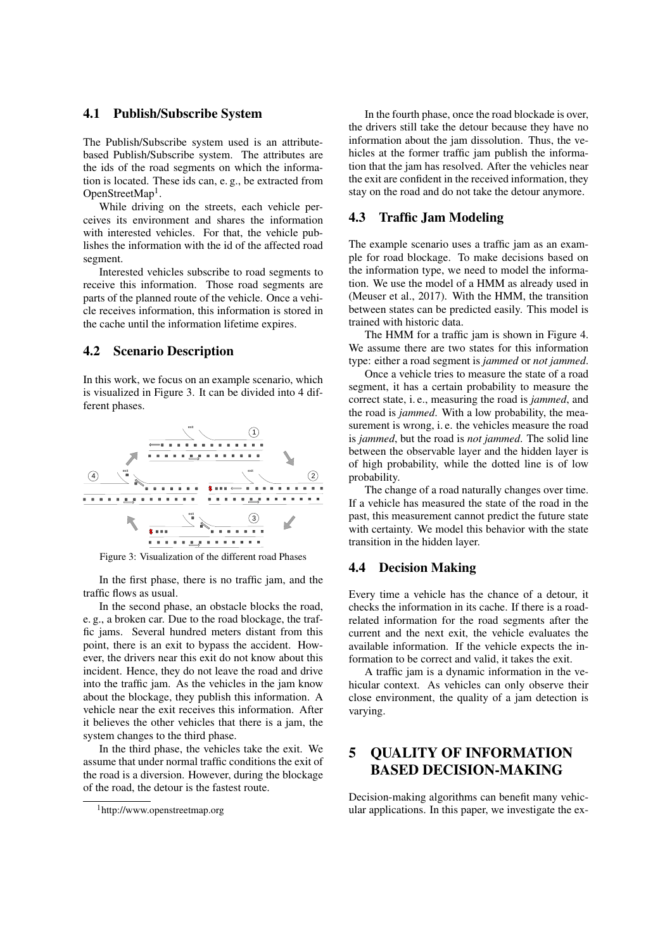#### 4.1 Publish/Subscribe System

The Publish/Subscribe system used is an attributebased Publish/Subscribe system. The attributes are the ids of the road segments on which the information is located. These ids can, e. g., be extracted from OpenStreetMap<sup>[1](#page-3-1)</sup>.

While driving on the streets, each vehicle perceives its environment and shares the information with interested vehicles. For that, the vehicle publishes the information with the id of the affected road segment.

Interested vehicles subscribe to road segments to receive this information. Those road segments are parts of the planned route of the vehicle. Once a vehicle receives information, this information is stored in the cache until the information lifetime expires.

### 4.2 Scenario Description

In this work, we focus on an example scenario, which is visualized in [Figure 3.](#page-3-2) It can be divided into 4 different phases.

<span id="page-3-2"></span>

Figure 3: Visualization of the different road Phases

In the first phase, there is no traffic jam, and the traffic flows as usual.

In the second phase, an obstacle blocks the road, e. g., a broken car. Due to the road blockage, the traffic jams. Several hundred meters distant from this point, there is an exit to bypass the accident. However, the drivers near this exit do not know about this incident. Hence, they do not leave the road and drive into the traffic jam. As the vehicles in the jam know about the blockage, they publish this information. A vehicle near the exit receives this information. After it believes the other vehicles that there is a jam, the system changes to the third phase.

In the third phase, the vehicles take the exit. We assume that under normal traffic conditions the exit of the road is a diversion. However, during the blockage of the road, the detour is the fastest route.

In the fourth phase, once the road blockade is over, the drivers still take the detour because they have no information about the jam dissolution. Thus, the vehicles at the former traffic jam publish the information that the jam has resolved. After the vehicles near the exit are confident in the received information, they stay on the road and do not take the detour anymore.

#### 4.3 Traffic Jam Modeling

The example scenario uses a traffic jam as an example for road blockage. To make decisions based on the information type, we need to model the information. We use the model of a HMM as already used in [\(Meuser et al., 2017\)](#page-11-7). With the HMM, the transition between states can be predicted easily. This model is trained with historic data.

The HMM for a traffic jam is shown in [Figure 4.](#page-4-0) We assume there are two states for this information type: either a road segment is *jammed* or *not jammed*.

Once a vehicle tries to measure the state of a road segment, it has a certain probability to measure the correct state, i. e., measuring the road is *jammed*, and the road is *jammed*. With a low probability, the measurement is wrong, i. e. the vehicles measure the road is *jammed*, but the road is *not jammed*. The solid line between the observable layer and the hidden layer is of high probability, while the dotted line is of low probability.

The change of a road naturally changes over time. If a vehicle has measured the state of the road in the past, this measurement cannot predict the future state with certainty. We model this behavior with the state transition in the hidden layer.

#### 4.4 Decision Making

Every time a vehicle has the chance of a detour, it checks the information in its cache. If there is a roadrelated information for the road segments after the current and the next exit, the vehicle evaluates the available information. If the vehicle expects the information to be correct and valid, it takes the exit.

A traffic jam is a dynamic information in the vehicular context. As vehicles can only observe their close environment, the quality of a jam detection is varying.

# <span id="page-3-0"></span>5 QUALITY OF INFORMATION BASED DECISION-MAKING

Decision-making algorithms can benefit many vehicular applications. In this paper, we investigate the ex-

<span id="page-3-1"></span><sup>1</sup>http://www.openstreetmap.org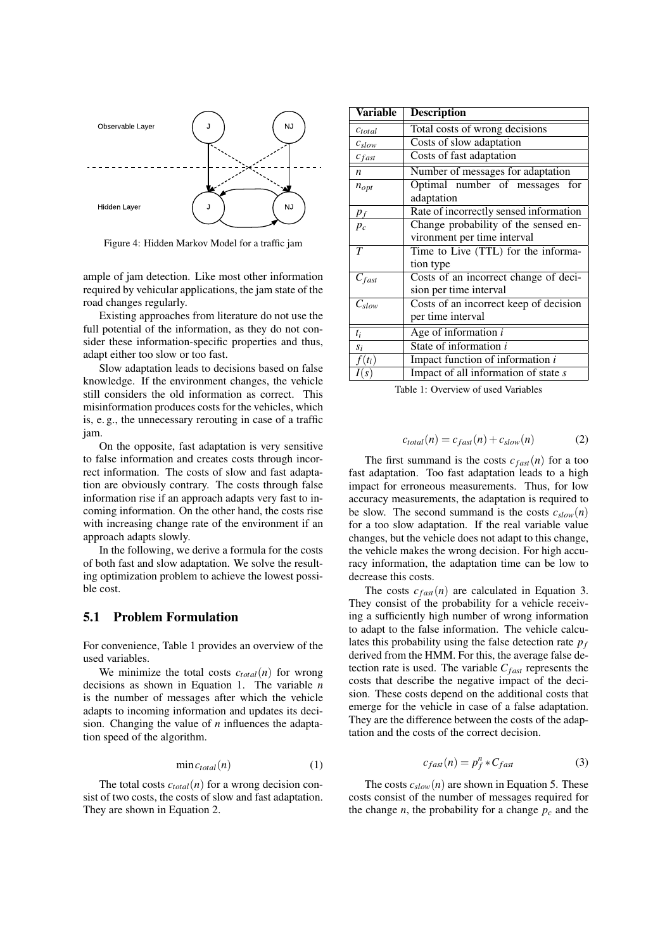<span id="page-4-0"></span>

Figure 4: Hidden Markov Model for a traffic jam

ample of jam detection. Like most other information required by vehicular applications, the jam state of the road changes regularly.

Existing approaches from literature do not use the full potential of the information, as they do not consider these information-specific properties and thus, adapt either too slow or too fast.

Slow adaptation leads to decisions based on false knowledge. If the environment changes, the vehicle still considers the old information as correct. This misinformation produces costs for the vehicles, which is, e. g., the unnecessary rerouting in case of a traffic jam.

On the opposite, fast adaptation is very sensitive to false information and creates costs through incorrect information. The costs of slow and fast adaptation are obviously contrary. The costs through false information rise if an approach adapts very fast to incoming information. On the other hand, the costs rise with increasing change rate of the environment if an approach adapts slowly.

In the following, we derive a formula for the costs of both fast and slow adaptation. We solve the resulting optimization problem to achieve the lowest possible cost.

#### 5.1 Problem Formulation

For convenience, [Table 1](#page-4-1) provides an overview of the used variables.

We minimize the total costs  $c_{total}(n)$  for wrong decisions as shown in [Equation 1.](#page-4-2) The variable *n* is the number of messages after which the vehicle adapts to incoming information and updates its decision. Changing the value of *n* influences the adaptation speed of the algorithm.

<span id="page-4-2"></span>
$$
\min c_{total}(n) \tag{1}
$$

The total costs  $c_{total}(n)$  for a wrong decision consist of two costs, the costs of slow and fast adaptation. They are shown in [Equation 2.](#page-4-3)

<span id="page-4-1"></span>

| <b>Variable</b>   | <b>Description</b>                     |
|-------------------|----------------------------------------|
| $c_{total}$       | Total costs of wrong decisions         |
| $c_{slow}$        | Costs of slow adaptation               |
| $c_{fast}$        | Costs of fast adaptation               |
| $\boldsymbol{n}$  | Number of messages for adaptation      |
| $n_{opt}$         | Optimal number of messages for         |
|                   | adaptation                             |
| $p_f$             | Rate of incorrectly sensed information |
| $p_c$             | Change probability of the sensed en-   |
|                   | vironment per time interval            |
| T                 | Time to Live (TTL) for the informa-    |
|                   | tion type                              |
| $C_{fast}$        | Costs of an incorrect change of deci-  |
|                   | sion per time interval                 |
| $C_{slow}$        | Costs of an incorrect keep of decision |
|                   | per time interval                      |
| $t_i$             | Age of information $i$                 |
| $S_i$             | State of information i                 |
| $(t_i)$           | Impact function of information $i$     |
| $\lceil S \rceil$ | Impact of all information of state s   |

Table 1: Overview of used Variables

<span id="page-4-3"></span>
$$
c_{total}(n) = c_{fast}(n) + c_{slow}(n) \tag{2}
$$

The first summand is the costs  $c_{\text{fast}}(n)$  for a too fast adaptation. Too fast adaptation leads to a high impact for erroneous measurements. Thus, for low accuracy measurements, the adaptation is required to be slow. The second summand is the costs  $c_{slow}(n)$ for a too slow adaptation. If the real variable value changes, but the vehicle does not adapt to this change, the vehicle makes the wrong decision. For high accuracy information, the adaptation time can be low to decrease this costs.

The costs  $c_{\text{fast}}(n)$  are calculated in [Equation 3.](#page-4-4) They consist of the probability for a vehicle receiving a sufficiently high number of wrong information to adapt to the false information. The vehicle calculates this probability using the false detection rate *p<sup>f</sup>* derived from the HMM. For this, the average false detection rate is used. The variable  $C_{\text{fast}}$  represents the costs that describe the negative impact of the decision. These costs depend on the additional costs that emerge for the vehicle in case of a false adaptation. They are the difference between the costs of the adaptation and the costs of the correct decision.

<span id="page-4-4"></span>
$$
c_{fast}(n) = p_f^n * C_{fast} \tag{3}
$$

The costs  $c_{slow}(n)$  are shown in [Equation 5.](#page-5-0) These costs consist of the number of messages required for the change *n*, the probability for a change  $p_c$  and the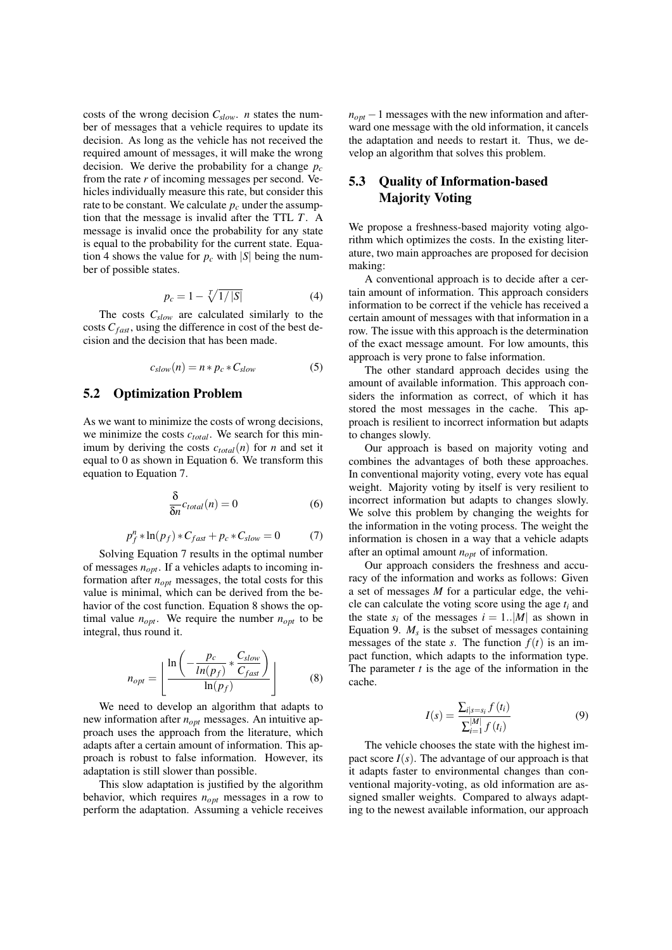costs of the wrong decision *Cslow*. *n* states the number of messages that a vehicle requires to update its decision. As long as the vehicle has not received the required amount of messages, it will make the wrong decision. We derive the probability for a change *p<sup>c</sup>* from the rate *r* of incoming messages per second. Vehicles individually measure this rate, but consider this rate to be constant. We calculate  $p_c$  under the assumption that the message is invalid after the TTL *T*. A message is invalid once the probability for any state is equal to the probability for the current state. [Equa](#page-5-1)[tion 4](#page-5-1) shows the value for  $p_c$  with  $|S|$  being the number of possible states.

<span id="page-5-1"></span>
$$
p_c = 1 - \sqrt[T]{1/|S|}
$$
 (4)

The costs *Cslow* are calculated similarly to the costs  $C_{\text{fast}}$ , using the difference in cost of the best decision and the decision that has been made.

<span id="page-5-0"></span>
$$
c_{slow}(n) = n * p_c * C_{slow} \tag{5}
$$

### 5.2 Optimization Problem

As we want to minimize the costs of wrong decisions, we minimize the costs *ctotal*. We search for this minimum by deriving the costs  $c_{total}(n)$  for *n* and set it equal to 0 as shown in [Equation 6.](#page-5-2) We transform this equation to [Equation 7.](#page-5-3)

<span id="page-5-2"></span>
$$
\frac{\delta}{\delta n}c_{total}(n) = 0\tag{6}
$$

<span id="page-5-3"></span>
$$
p_f^n * \ln(p_f) * C_{fast} + p_c * C_{slow} = 0 \tag{7}
$$

Solving [Equation 7](#page-5-3) results in the optimal number of messages *nopt*. If a vehicles adapts to incoming information after *nopt* messages, the total costs for this value is minimal, which can be derived from the behavior of the cost function. [Equation 8](#page-5-4) shows the optimal value  $n_{opt}$ . We require the number  $n_{opt}$  to be integral, thus round it.

<span id="page-5-4"></span>
$$
n_{opt} = \left| \frac{\ln\left(-\frac{p_c}{\ln(p_f)} * \frac{C_{slow}}{C_{fast}}\right)}{\ln(p_f)} \right| \tag{8}
$$

We need to develop an algorithm that adapts to new information after *nopt* messages. An intuitive approach uses the approach from the literature, which adapts after a certain amount of information. This approach is robust to false information. However, its adaptation is still slower than possible.

This slow adaptation is justified by the algorithm behavior, which requires *nopt* messages in a row to perform the adaptation. Assuming a vehicle receives  $n_{opt}$  − 1 messages with the new information and afterward one message with the old information, it cancels the adaptation and needs to restart it. Thus, we develop an algorithm that solves this problem.

## 5.3 Quality of Information-based Majority Voting

We propose a freshness-based majority voting algorithm which optimizes the costs. In the existing literature, two main approaches are proposed for decision making:

A conventional approach is to decide after a certain amount of information. This approach considers information to be correct if the vehicle has received a certain amount of messages with that information in a row. The issue with this approach is the determination of the exact message amount. For low amounts, this approach is very prone to false information.

The other standard approach decides using the amount of available information. This approach considers the information as correct, of which it has stored the most messages in the cache. This approach is resilient to incorrect information but adapts to changes slowly.

Our approach is based on majority voting and combines the advantages of both these approaches. In conventional majority voting, every vote has equal weight. Majority voting by itself is very resilient to incorrect information but adapts to changes slowly. We solve this problem by changing the weights for the information in the voting process. The weight the information is chosen in a way that a vehicle adapts after an optimal amount *nopt* of information.

Our approach considers the freshness and accuracy of the information and works as follows: Given a set of messages *M* for a particular edge, the vehicle can calculate the voting score using the age *t<sup>i</sup>* and the state  $s_i$  of the messages  $i = 1..|M|$  as shown in [Equation 9.](#page-5-5)  $M_s$  is the subset of messages containing messages of the state *s*. The function  $f(t)$  is an impact function, which adapts to the information type. The parameter *t* is the age of the information in the cache.

<span id="page-5-5"></span>
$$
I(s) = \frac{\sum_{i|s=s_i} f(t_i)}{\sum_{i=1}^{|M|} f(t_i)}
$$
(9)

The vehicle chooses the state with the highest impact score  $I(s)$ . The advantage of our approach is that it adapts faster to environmental changes than conventional majority-voting, as old information are assigned smaller weights. Compared to always adapting to the newest available information, our approach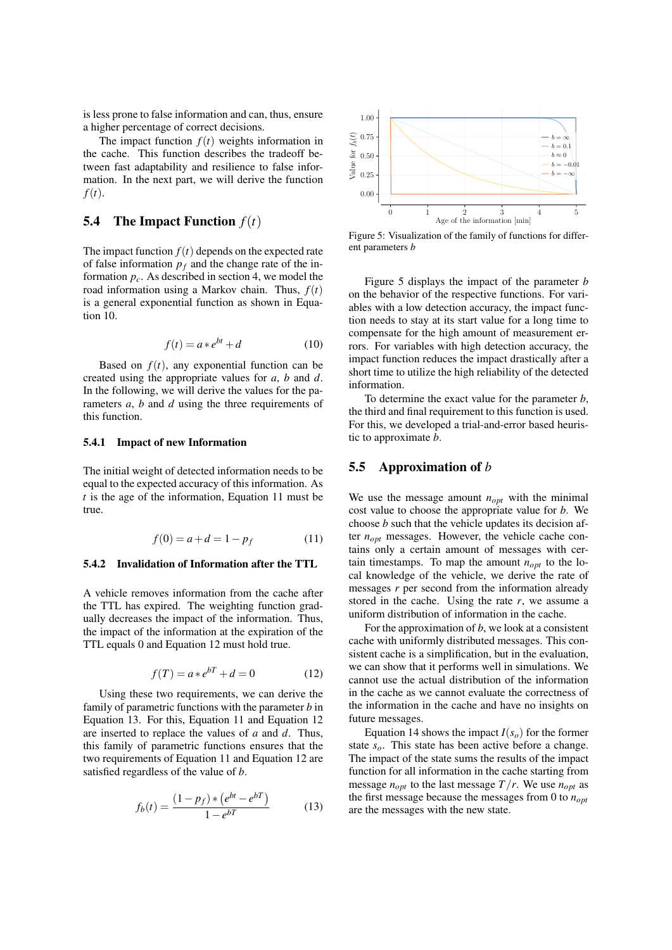is less prone to false information and can, thus, ensure a higher percentage of correct decisions.

The impact function  $f(t)$  weights information in the cache. This function describes the tradeoff between fast adaptability and resilience to false information. In the next part, we will derive the function *f*(*t*).

### **5.4** The Impact Function  $f(t)$

The impact function  $f(t)$  depends on the expected rate of false information  $p_f$  and the change rate of the information  $p_c$ . As described in [section 4,](#page-2-0) we model the road information using a Markov chain. Thus, *f*(*t*) is a general exponential function as shown in [Equa](#page-6-0)[tion 10.](#page-6-0)

<span id="page-6-0"></span>
$$
f(t) = a * e^{bt} + d \tag{10}
$$

Based on  $f(t)$ , any exponential function can be created using the appropriate values for *a*, *b* and *d*. In the following, we will derive the values for the parameters *a*, *b* and *d* using the three requirements of this function.

#### 5.4.1 Impact of new Information

The initial weight of detected information needs to be equal to the expected accuracy of this information. As *t* is the age of the information, [Equation 11](#page-6-1) must be true.

<span id="page-6-1"></span>
$$
f(0) = a + d = 1 - p_f \tag{11}
$$

#### 5.4.2 Invalidation of Information after the TTL

A vehicle removes information from the cache after the TTL has expired. The weighting function gradually decreases the impact of the information. Thus, the impact of the information at the expiration of the TTL equals 0 and [Equation 12](#page-6-2) must hold true.

<span id="page-6-2"></span>
$$
f(T) = a * e^{bT} + d = 0 \tag{12}
$$

Using these two requirements, we can derive the family of parametric functions with the parameter *b* in [Equation 13.](#page-6-3) For this, [Equation 11](#page-6-1) and [Equation 12](#page-6-2) are inserted to replace the values of *a* and *d*. Thus, this family of parametric functions ensures that the two requirements of [Equation 11](#page-6-1) and [Equation 12](#page-6-2) are satisfied regardless of the value of *b*.

<span id="page-6-3"></span>
$$
f_b(t) = \frac{(1 - p_f) * (e^{bt} - e^{bT})}{1 - e^{bT}} \tag{13}
$$

<span id="page-6-4"></span>

Figure 5: Visualization of the family of functions for different parameters *b*

[Figure 5](#page-6-4) displays the impact of the parameter *b* on the behavior of the respective functions. For variables with a low detection accuracy, the impact function needs to stay at its start value for a long time to compensate for the high amount of measurement errors. For variables with high detection accuracy, the impact function reduces the impact drastically after a short time to utilize the high reliability of the detected information.

To determine the exact value for the parameter *b*, the third and final requirement to this function is used. For this, we developed a trial-and-error based heuristic to approximate *b*.

#### 5.5 Approximation of *b*

We use the message amount  $n_{opt}$  with the minimal cost value to choose the appropriate value for *b*. We choose *b* such that the vehicle updates its decision after  $n_{opt}$  messages. However, the vehicle cache contains only a certain amount of messages with certain timestamps. To map the amount  $n_{opt}$  to the local knowledge of the vehicle, we derive the rate of messages *r* per second from the information already stored in the cache. Using the rate  $r$ , we assume a uniform distribution of information in the cache.

For the approximation of *b*, we look at a consistent cache with uniformly distributed messages. This consistent cache is a simplification, but in the evaluation, we can show that it performs well in simulations. We cannot use the actual distribution of the information in the cache as we cannot evaluate the correctness of the information in the cache and have no insights on future messages.

[Equation 14](#page-7-1) shows the impact  $I(s_o)$  for the former state *so*. This state has been active before a change. The impact of the state sums the results of the impact function for all information in the cache starting from message  $n_{opt}$  to the last message  $T/r$ . We use  $n_{opt}$  as the first message because the messages from 0 to  $n_{opt}$ are the messages with the new state.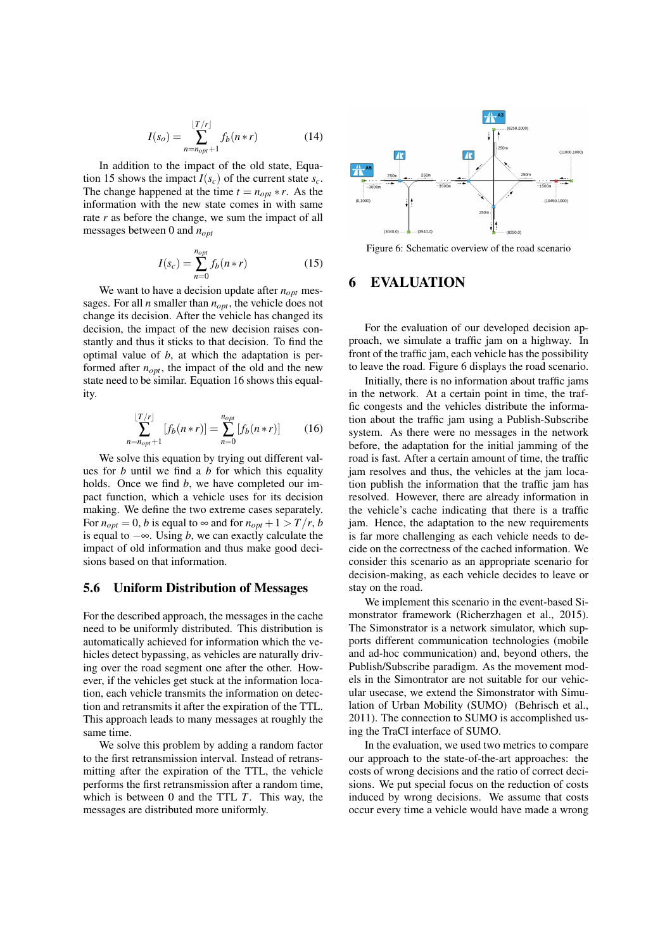<span id="page-7-1"></span>
$$
I(s_o) = \sum_{n=n_{opt}+1}^{\lfloor T/r \rfloor} f_b(n*r)
$$
 (14)

In addition to the impact of the old state, [Equa](#page-7-2)[tion 15](#page-7-2) shows the impact  $I(s_c)$  of the current state  $s_c$ . The change happened at the time  $t = n_{\text{out}} * r$ . As the information with the new state comes in with same rate *r* as before the change, we sum the impact of all messages between 0 and *nopt*

<span id="page-7-2"></span>
$$
I(s_c) = \sum_{n=0}^{n_{opt}} f_b(n*r)
$$
 (15)

We want to have a decision update after  $n_{opt}$  messages. For all *n* smaller than *nopt*, the vehicle does not change its decision. After the vehicle has changed its decision, the impact of the new decision raises constantly and thus it sticks to that decision. To find the optimal value of *b*, at which the adaptation is performed after *nopt*, the impact of the old and the new state need to be similar. [Equation 16](#page-7-3) shows this equality.

<span id="page-7-3"></span>
$$
\sum_{n=n_{opt}+1}^{\lfloor T/r \rfloor} [f_b(n*r)] = \sum_{n=0}^{n_{opt}} [f_b(n*r)] \tag{16}
$$

We solve this equation by trying out different values for *b* until we find a *b* for which this equality holds. Once we find *b*, we have completed our impact function, which a vehicle uses for its decision making. We define the two extreme cases separately. For  $n_{opt} = 0$ , *b* is equal to  $\infty$  and for  $n_{opt} + 1 > T/r$ , *b* is equal to  $-\infty$ . Using *b*, we can exactly calculate the impact of old information and thus make good decisions based on that information.

#### 5.6 Uniform Distribution of Messages

For the described approach, the messages in the cache need to be uniformly distributed. This distribution is automatically achieved for information which the vehicles detect bypassing, as vehicles are naturally driving over the road segment one after the other. However, if the vehicles get stuck at the information location, each vehicle transmits the information on detection and retransmits it after the expiration of the TTL. This approach leads to many messages at roughly the same time.

We solve this problem by adding a random factor to the first retransmission interval. Instead of retransmitting after the expiration of the TTL, the vehicle performs the first retransmission after a random time, which is between 0 and the TTL *T*. This way, the messages are distributed more uniformly.

<span id="page-7-4"></span>

Figure 6: Schematic overview of the road scenario

### <span id="page-7-0"></span>**EVALUATION**

For the evaluation of our developed decision approach, we simulate a traffic jam on a highway. In front of the traffic jam, each vehicle has the possibility to leave the road. [Figure 6](#page-7-4) displays the road scenario.

Initially, there is no information about traffic jams in the network. At a certain point in time, the traffic congests and the vehicles distribute the information about the traffic jam using a Publish-Subscribe system. As there were no messages in the network before, the adaptation for the initial jamming of the road is fast. After a certain amount of time, the traffic jam resolves and thus, the vehicles at the jam location publish the information that the traffic jam has resolved. However, there are already information in the vehicle's cache indicating that there is a traffic jam. Hence, the adaptation to the new requirements is far more challenging as each vehicle needs to decide on the correctness of the cached information. We consider this scenario as an appropriate scenario for decision-making, as each vehicle decides to leave or stay on the road.

We implement this scenario in the event-based Simonstrator framework [\(Richerzhagen et al., 2015\)](#page-11-10). The Simonstrator is a network simulator, which supports different communication technologies (mobile and ad-hoc communication) and, beyond others, the Publish/Subscribe paradigm. As the movement models in the Simontrator are not suitable for our vehicular usecase, we extend the Simonstrator with Simulation of Urban Mobility (SUMO) [\(Behrisch et al.,](#page-11-11) [2011\)](#page-11-11). The connection to SUMO is accomplished using the TraCI interface of SUMO.

In the evaluation, we used two metrics to compare our approach to the state-of-the-art approaches: the costs of wrong decisions and the ratio of correct decisions. We put special focus on the reduction of costs induced by wrong decisions. We assume that costs occur every time a vehicle would have made a wrong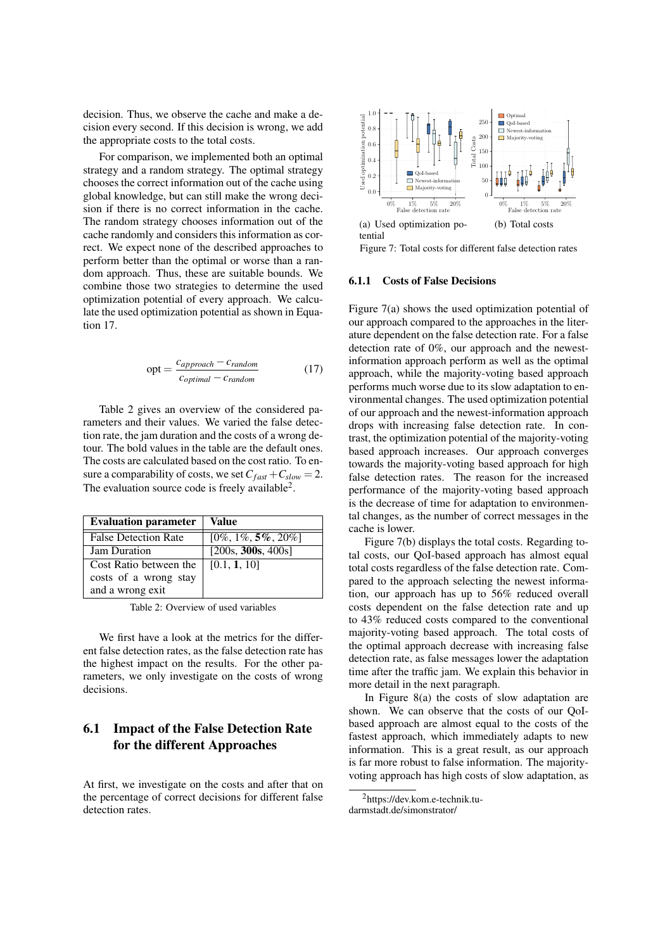decision. Thus, we observe the cache and make a decision every second. If this decision is wrong, we add the appropriate costs to the total costs.

For comparison, we implemented both an optimal strategy and a random strategy. The optimal strategy chooses the correct information out of the cache using global knowledge, but can still make the wrong decision if there is no correct information in the cache. The random strategy chooses information out of the cache randomly and considers this information as correct. We expect none of the described approaches to perform better than the optimal or worse than a random approach. Thus, these are suitable bounds. We combine those two strategies to determine the used optimization potential of every approach. We calculate the used optimization potential as shown in [Equa](#page-8-0)[tion 17.](#page-8-0)

<span id="page-8-0"></span>
$$
opt = \frac{c_{approach} - c_{random}}{c_{optimal} - c_{random}}
$$
(17)

[Table 2](#page-8-1) gives an overview of the considered parameters and their values. We varied the false detection rate, the jam duration and the costs of a wrong detour. The bold values in the table are the default ones. The costs are calculated based on the cost ratio. To ensure a comparability of costs, we set  $C_{\text{fast}} + C_{\text{slow}} = 2$ . The evaluation source code is freely available<sup>[2](#page-8-2)</sup>.

<span id="page-8-1"></span>

| <b>Evaluation parameter</b> | Value                   |
|-----------------------------|-------------------------|
| <b>False Detection Rate</b> | $[0\%, 1\%, 5\%, 20\%]$ |
| <b>Jam Duration</b>         | [200s, 300s, 400s]      |
| Cost Ratio between the      | [0.1, 1, 10]            |
| costs of a wrong stay       |                         |
| and a wrong exit            |                         |

Table 2: Overview of used variables

We first have a look at the metrics for the different false detection rates, as the false detection rate has the highest impact on the results. For the other parameters, we only investigate on the costs of wrong decisions.

## 6.1 Impact of the False Detection Rate for the different Approaches

At first, we investigate on the costs and after that on the percentage of correct decisions for different false detection rates.

<span id="page-8-3"></span>

<span id="page-8-4"></span>Figure 7: Total costs for different false detection rates

#### 6.1.1 Costs of False Decisions

Figure [7\(a\)](#page-8-3) shows the used optimization potential of our approach compared to the approaches in the literature dependent on the false detection rate. For a false detection rate of 0%, our approach and the newestinformation approach perform as well as the optimal approach, while the majority-voting based approach performs much worse due to its slow adaptation to environmental changes. The used optimization potential of our approach and the newest-information approach drops with increasing false detection rate. In contrast, the optimization potential of the majority-voting based approach increases. Our approach converges towards the majority-voting based approach for high false detection rates. The reason for the increased performance of the majority-voting based approach is the decrease of time for adaptation to environmental changes, as the number of correct messages in the cache is lower.

Figure [7\(b\)](#page-8-4) displays the total costs. Regarding total costs, our QoI-based approach has almost equal total costs regardless of the false detection rate. Compared to the approach selecting the newest information, our approach has up to 56% reduced overall costs dependent on the false detection rate and up to 43% reduced costs compared to the conventional majority-voting based approach. The total costs of the optimal approach decrease with increasing false detection rate, as false messages lower the adaptation time after the traffic jam. We explain this behavior in more detail in the next paragraph.

In Figure [8\(a\)](#page-9-0) the costs of slow adaptation are shown. We can observe that the costs of our QoIbased approach are almost equal to the costs of the fastest approach, which immediately adapts to new information. This is a great result, as our approach is far more robust to false information. The majorityvoting approach has high costs of slow adaptation, as

<span id="page-8-2"></span><sup>2</sup>https://dev.kom.e-technik.tudarmstadt.de/simonstrator/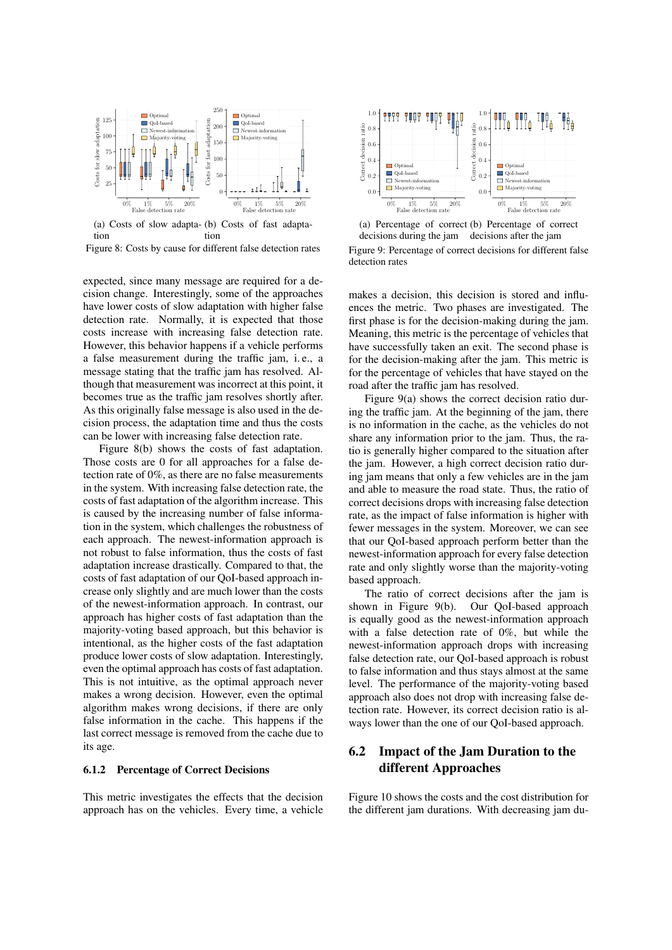<span id="page-9-0"></span>

<span id="page-9-1"></span>(a) Costs of slow adapta-(b) Costs of fast adaptation tion

Figure 8: Costs by cause for different false detection rates

expected, since many message are required for a decision change. Interestingly, some of the approaches have lower costs of slow adaptation with higher false detection rate. Normally, it is expected that those costs increase with increasing false detection rate. However, this behavior happens if a vehicle performs a false measurement during the traffic jam, i. e., a message stating that the traffic jam has resolved. Although that measurement was incorrect at this point, it becomes true as the traffic jam resolves shortly after. As this originally false message is also used in the decision process, the adaptation time and thus the costs can be lower with increasing false detection rate.

Figure [8\(b\)](#page-9-1) shows the costs of fast adaptation. Those costs are 0 for all approaches for a false detection rate of 0%, as there are no false measurements in the system. With increasing false detection rate, the costs of fast adaptation of the algorithm increase. This is caused by the increasing number of false information in the system, which challenges the robustness of each approach. The newest-information approach is not robust to false information, thus the costs of fast adaptation increase drastically. Compared to that, the costs of fast adaptation of our QoI-based approach increase only slightly and are much lower than the costs of the newest-information approach. In contrast, our approach has higher costs of fast adaptation than the majority-voting based approach, but this behavior is intentional, as the higher costs of the fast adaptation produce lower costs of slow adaptation. Interestingly, even the optimal approach has costs of fast adaptation. This is not intuitive, as the optimal approach never makes a wrong decision. However, even the optimal algorithm makes wrong decisions, if there are only false information in the cache. This happens if the last correct message is removed from the cache due to its age.

#### 6.1.2 Percentage of Correct Decisions

This metric investigates the effects that the decision approach has on the vehicles. Every time, a vehicle

<span id="page-9-2"></span>

<span id="page-9-3"></span>(a) Percentage of correct (b) Percentage of correct decisions during the jam decisions after the jam

Figure 9: Percentage of correct decisions for different false detection rates

makes a decision, this decision is stored and influences the metric. Two phases are investigated. The first phase is for the decision-making during the jam. Meaning, this metric is the percentage of vehicles that have successfully taken an exit. The second phase is for the decision-making after the jam. This metric is for the percentage of vehicles that have stayed on the road after the traffic jam has resolved.

Figure [9\(a\)](#page-9-2) shows the correct decision ratio during the traffic jam. At the beginning of the jam, there is no information in the cache, as the vehicles do not share any information prior to the jam. Thus, the ratio is generally higher compared to the situation after the jam. However, a high correct decision ratio during jam means that only a few vehicles are in the jam and able to measure the road state. Thus, the ratio of correct decisions drops with increasing false detection rate, as the impact of false information is higher with fewer messages in the system. Moreover, we can see that our QoI-based approach perform better than the newest-information approach for every false detection rate and only slightly worse than the majority-voting based approach.

The ratio of correct decisions after the jam is shown in Figure [9\(b\).](#page-9-3) Our QoI-based approach is equally good as the newest-information approach with a false detection rate of 0%, but while the newest-information approach drops with increasing false detection rate, our QoI-based approach is robust to false information and thus stays almost at the same level. The performance of the majority-voting based approach also does not drop with increasing false detection rate. However, its correct decision ratio is always lower than the one of our QoI-based approach.

### 6.2 Impact of the Jam Duration to the different Approaches

[Figure 10](#page-10-0) shows the costs and the cost distribution for the different jam durations. With decreasing jam du-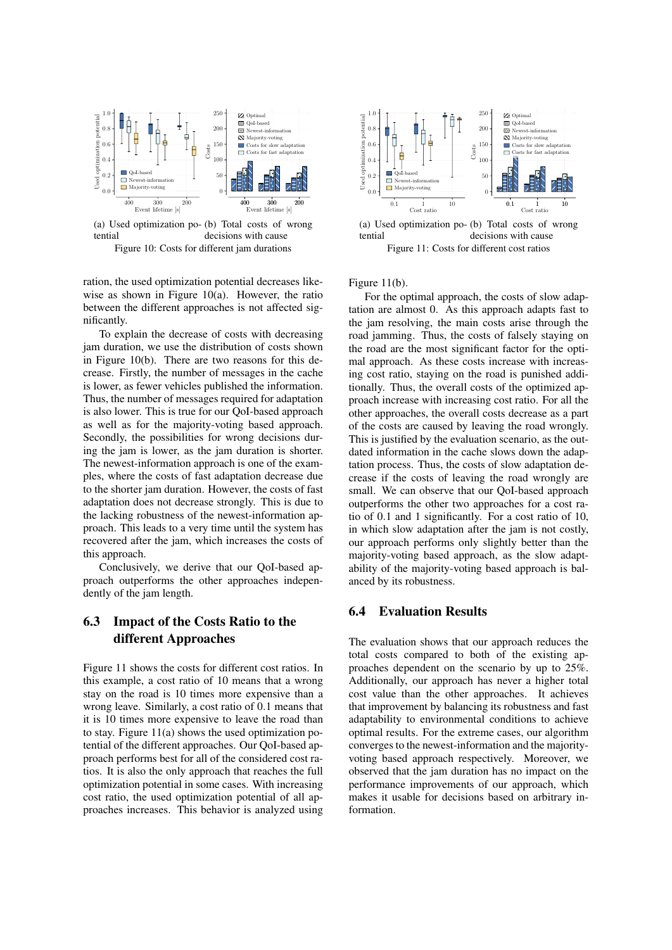<span id="page-10-1"></span><span id="page-10-0"></span>

<span id="page-10-2"></span>(a) Used optimization po-(b) Total costs of wrong tential decisions with cause Figure 10: Costs for different jam durations

ration, the used optimization potential decreases likewise as shown in Figure [10\(a\).](#page-10-1) However, the ratio between the different approaches is not affected significantly.

To explain the decrease of costs with decreasing jam duration, we use the distribution of costs shown in Figure [10\(b\).](#page-10-2) There are two reasons for this decrease. Firstly, the number of messages in the cache is lower, as fewer vehicles published the information. Thus, the number of messages required for adaptation is also lower. This is true for our QoI-based approach as well as for the majority-voting based approach. Secondly, the possibilities for wrong decisions during the jam is lower, as the jam duration is shorter. The newest-information approach is one of the examples, where the costs of fast adaptation decrease due to the shorter jam duration. However, the costs of fast adaptation does not decrease strongly. This is due to the lacking robustness of the newest-information approach. This leads to a very time until the system has recovered after the jam, which increases the costs of this approach.

Conclusively, we derive that our QoI-based approach outperforms the other approaches independently of the jam length.

## 6.3 Impact of the Costs Ratio to the different Approaches

[Figure 11](#page-10-3) shows the costs for different cost ratios. In this example, a cost ratio of 10 means that a wrong stay on the road is 10 times more expensive than a wrong leave. Similarly, a cost ratio of 0.1 means that it is 10 times more expensive to leave the road than to stay. Figure [11\(a\)](#page-10-4) shows the used optimization potential of the different approaches. Our QoI-based approach performs best for all of the considered cost ratios. It is also the only approach that reaches the full optimization potential in some cases. With increasing cost ratio, the used optimization potential of all approaches increases. This behavior is analyzed using

<span id="page-10-4"></span><span id="page-10-3"></span>

<span id="page-10-5"></span>(a) Used optimization po-(b) Total costs of wrong tential decisions with cause Figure 11: Costs for different cost ratios

Figure [11\(b\).](#page-10-5)

For the optimal approach, the costs of slow adaptation are almost 0. As this approach adapts fast to the jam resolving, the main costs arise through the road jamming. Thus, the costs of falsely staying on the road are the most significant factor for the optimal approach. As these costs increase with increasing cost ratio, staying on the road is punished additionally. Thus, the overall costs of the optimized approach increase with increasing cost ratio. For all the other approaches, the overall costs decrease as a part of the costs are caused by leaving the road wrongly. This is justified by the evaluation scenario, as the outdated information in the cache slows down the adaptation process. Thus, the costs of slow adaptation decrease if the costs of leaving the road wrongly are small. We can observe that our QoI-based approach outperforms the other two approaches for a cost ratio of 0.1 and 1 significantly. For a cost ratio of 10, in which slow adaptation after the jam is not costly, our approach performs only slightly better than the majority-voting based approach, as the slow adaptability of the majority-voting based approach is balanced by its robustness.

### 6.4 Evaluation Results

The evaluation shows that our approach reduces the total costs compared to both of the existing approaches dependent on the scenario by up to 25%. Additionally, our approach has never a higher total cost value than the other approaches. It achieves that improvement by balancing its robustness and fast adaptability to environmental conditions to achieve optimal results. For the extreme cases, our algorithm converges to the newest-information and the majorityvoting based approach respectively. Moreover, we observed that the jam duration has no impact on the performance improvements of our approach, which makes it usable for decisions based on arbitrary information.